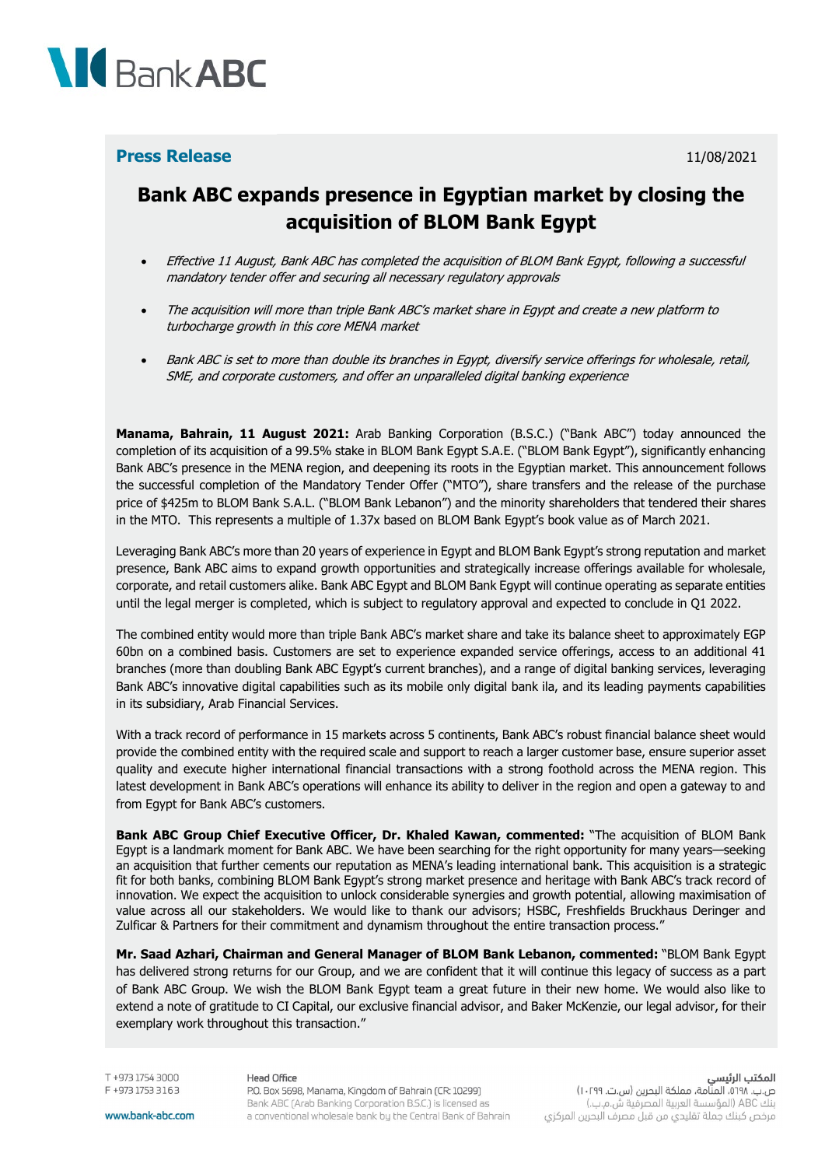

## **Press Release** 11/08/2021

## **Bank ABC expands presence in Egyptian market by closing the acquisition of BLOM Bank Egypt**

- Effective 11 August, Bank ABC has completed the acquisition of BLOM Bank Egypt, following a successful mandatory tender offer and securing all necessary regulatory approvals
- The acquisition will more than triple Bank ABC's market share in Egypt and create a new platform to turbocharge growth in this core MENA market
- Bank ABC is set to more than double its branches in Egypt, diversify service offerings for wholesale, retail, SME, and corporate customers, and offer an unparalleled digital banking experience

**Manama, Bahrain, 11 August 2021:** Arab Banking Corporation (B.S.C.) ("Bank ABC") today announced the completion of its acquisition of a 99.5% stake in BLOM Bank Egypt S.A.E. ("BLOM Bank Egypt"), significantly enhancing Bank ABC's presence in the MENA region, and deepening its roots in the Egyptian market. This announcement follows the successful completion of the Mandatory Tender Offer ("MTO"), share transfers and the release of the purchase price of \$425m to BLOM Bank S.A.L. ("BLOM Bank Lebanon") and the minority shareholders that tendered their shares in the MTO. This represents a multiple of 1.37x based on BLOM Bank Egypt's book value as of March 2021.

Leveraging Bank ABC's more than 20 years of experience in Egypt and BLOM Bank Egypt's strong reputation and market presence, Bank ABC aims to expand growth opportunities and strategically increase offerings available for wholesale, corporate, and retail customers alike. Bank ABC Egypt and BLOM Bank Egypt will continue operating as separate entities until the legal merger is completed, which is subject to regulatory approval and expected to conclude in Q1 2022.

The combined entity would more than triple Bank ABC's market share and take its balance sheet to approximately EGP 60bn on a combined basis. Customers are set to experience expanded service offerings, access to an additional 41 branches (more than doubling Bank ABC Egypt's current branches), and a range of digital banking services, leveraging Bank ABC's innovative digital capabilities such as its mobile only digital bank ila, and its leading payments capabilities in its subsidiary, Arab Financial Services.

With a track record of performance in 15 markets across 5 continents, Bank ABC's robust financial balance sheet would provide the combined entity with the required scale and support to reach a larger customer base, ensure superior asset quality and execute higher international financial transactions with a strong foothold across the MENA region. This latest development in Bank ABC's operations will enhance its ability to deliver in the region and open a gateway to and from Egypt for Bank ABC's customers.

**Bank ABC Group Chief Executive Officer, Dr. Khaled Kawan, commented:** "The acquisition of BLOM Bank Egypt is a landmark moment for Bank ABC. We have been searching for the right opportunity for many years—seeking an acquisition that further cements our reputation as MENA's leading international bank. This acquisition is a strategic fit for both banks, combining BLOM Bank Egypt's strong market presence and heritage with Bank ABC's track record of innovation. We expect the acquisition to unlock considerable synergies and growth potential, allowing maximisation of value across all our stakeholders. We would like to thank our advisors; HSBC, Freshfields Bruckhaus Deringer and Zulficar & Partners for their commitment and dynamism throughout the entire transaction process."

**Mr. Saad Azhari, Chairman and General Manager of BLOM Bank Lebanon, commented:** "BLOM Bank Egypt has delivered strong returns for our Group, and we are confident that it will continue this legacy of success as a part of Bank ABC Group. We wish the BLOM Bank Egypt team a great future in their new home. We would also like to extend a note of gratitude to CI Capital, our exclusive financial advisor, and Baker McKenzie, our legal advisor, for their exemplary work throughout this transaction."

T +973 1754 3000 F +973 1753 3163

#### Head Office

## **المكتب الرئيسي**<br>ص.ب. ١٩٩٨، المنامة، مملكة البحرين (س.ت. ١٠٢٩٩) بنك ABC (المؤسسة العربية المصرفية ش.م.ب.) مرخص كبنك جملة تقليدي من قبل مصرف البحرين المركزي

www.bank-abc.com